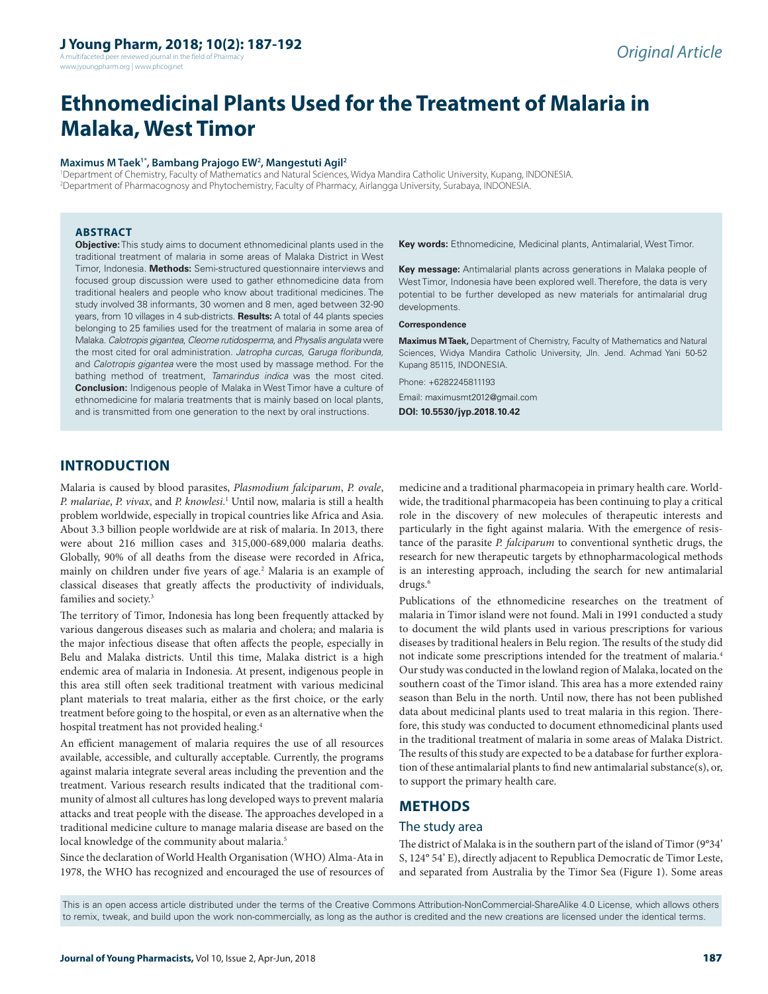## **J Young Pharm, 2018; 10(2): 187-192**

A multifaceted peer reviewed journal in the field of Pharm www.jyoungpharm.org | www.phcog.net

# **Ethnomedicinal Plants Used for the Treatment of Malaria in Malaka, West Timor**

#### **Maximus M Taek1\*, Bambang Prajogo EW2 , Mangestuti Agil2**

1 Department of Chemistry, Faculty of Mathematics and Natural Sciences, Widya Mandira Catholic University, Kupang, INDONESIA. 2 Department of Pharmacognosy and Phytochemistry, Faculty of Pharmacy, Airlangga University, Surabaya, INDONESIA.

#### **ABSTRACT**

**Objective:** This study aims to document ethnomedicinal plants used in the traditional treatment of malaria in some areas of Malaka District in West Timor, Indonesia. **Methods:** Semi-structured questionnaire interviews and focused group discussion were used to gather ethnomedicine data from traditional healers and people who know about traditional medicines. The study involved 38 informants, 30 women and 8 men, aged between 32-90 years, from 10 villages in 4 sub-districts. **Results:** A total of 44 plants species belonging to 25 families used for the treatment of malaria in some area of Malaka. *Calotropis gigantea*, *Cleome rutidosperma,* and *Physalis angulata* were the most cited for oral administration. *Jatropha curcas*, *Garuga floribunda,* and *Calotropis gigantea* were the most used by massage method. For the bathing method of treatment, *Tamarindus indica* was the most cited. **Conclusion:** Indigenous people of Malaka in West Timor have a culture of ethnomedicine for malaria treatments that is mainly based on local plants, and is transmitted from one generation to the next by oral instructions.

**Key words:** Ethnomedicine, Medicinal plants, Antimalarial, West Timor.

**Key message:** Antimalarial plants across generations in Malaka people of West Timor, Indonesia have been explored well. Therefore, the data is very potential to be further developed as new materials for antimalarial drug developments.

#### **Correspondence**

**Maximus M Taek,** Department of Chemistry, Faculty of Mathematics and Natural Sciences, Widya Mandira Catholic University, Jln. Jend. Achmad Yani 50-52 Kupang 85115, INDONESIA.

Phone: +6282245811193

Email: maximusmt2012@gmail.com

**DOI: 10.5530/jyp.2018.10.42**

## **INTRODUCTION**

Malaria is caused by blood parasites, *Plasmodium falciparum*, *P. ovale*, *P. malariae*, *P. vivax*, and *P. knowlesi*. 1 Until now, malaria is still a health problem worldwide, especially in tropical countries like Africa and Asia. About 3.3 billion people worldwide are at risk of malaria. In 2013, there were about 216 million cases and 315,000-689,000 malaria deaths. Globally, 90% of all deaths from the disease were recorded in Africa, mainly on children under five years of age.<sup>2</sup> Malaria is an example of classical diseases that greatly affects the productivity of individuals, families and society.<sup>3</sup>

The territory of Timor, Indonesia has long been frequently attacked by various dangerous diseases such as malaria and cholera; and malaria is the major infectious disease that often affects the people, especially in Belu and Malaka districts. Until this time, Malaka district is a high endemic area of malaria in Indonesia. At present, indigenous people in this area still often seek traditional treatment with various medicinal plant materials to treat malaria, either as the first choice, or the early treatment before going to the hospital, or even as an alternative when the hospital treatment has not provided healing.4

An efficient management of malaria requires the use of all resources available, accessible, and culturally acceptable. Currently, the programs against malaria integrate several areas including the prevention and the treatment. Various research results indicated that the traditional community of almost all cultures has long developed ways to prevent malaria attacks and treat people with the disease. The approaches developed in a traditional medicine culture to manage malaria disease are based on the local knowledge of the community about malaria.<sup>5</sup>

Since the declaration of World Health Organisation (WHO) Alma-Ata in 1978, the WHO has recognized and encouraged the use of resources of medicine and a traditional pharmacopeia in primary health care. Worldwide, the traditional pharmacopeia has been continuing to play a critical role in the discovery of new molecules of therapeutic interests and particularly in the fight against malaria. With the emergence of resistance of the parasite *P. falciparum* to conventional synthetic drugs, the research for new therapeutic targets by ethnopharmacological methods is an interesting approach, including the search for new antimalarial drugs.<sup>6</sup>

Publications of the ethnomedicine researches on the treatment of malaria in Timor island were not found. Mali in 1991 conducted a study to document the wild plants used in various prescriptions for various diseases by traditional healers in Belu region. The results of the study did not indicate some prescriptions intended for the treatment of malaria.4 Our study was conducted in the lowland region of Malaka, located on the southern coast of the Timor island. This area has a more extended rainy season than Belu in the north. Until now, there has not been published data about medicinal plants used to treat malaria in this region. Therefore, this study was conducted to document ethnomedicinal plants used in the traditional treatment of malaria in some areas of Malaka District. The results of this study are expected to be a database for further exploration of these antimalarial plants to find new antimalarial substance(s), or, to support the primary health care.

#### **METHODS**

#### The study area

The district of Malaka is in the southern part of the island of Timor (9°34' S, 124° 54' E), directly adjacent to Republica Democratic de Timor Leste, and separated from Australia by the Timor Sea (Figure 1). Some areas

This is an open access article distributed under the terms of the Creative Commons Attribution-NonCommercial-ShareAlike 4.0 License, which allows others to remix, tweak, and build upon the work non-commercially, as long as the author is credited and the new creations are licensed under the identical terms.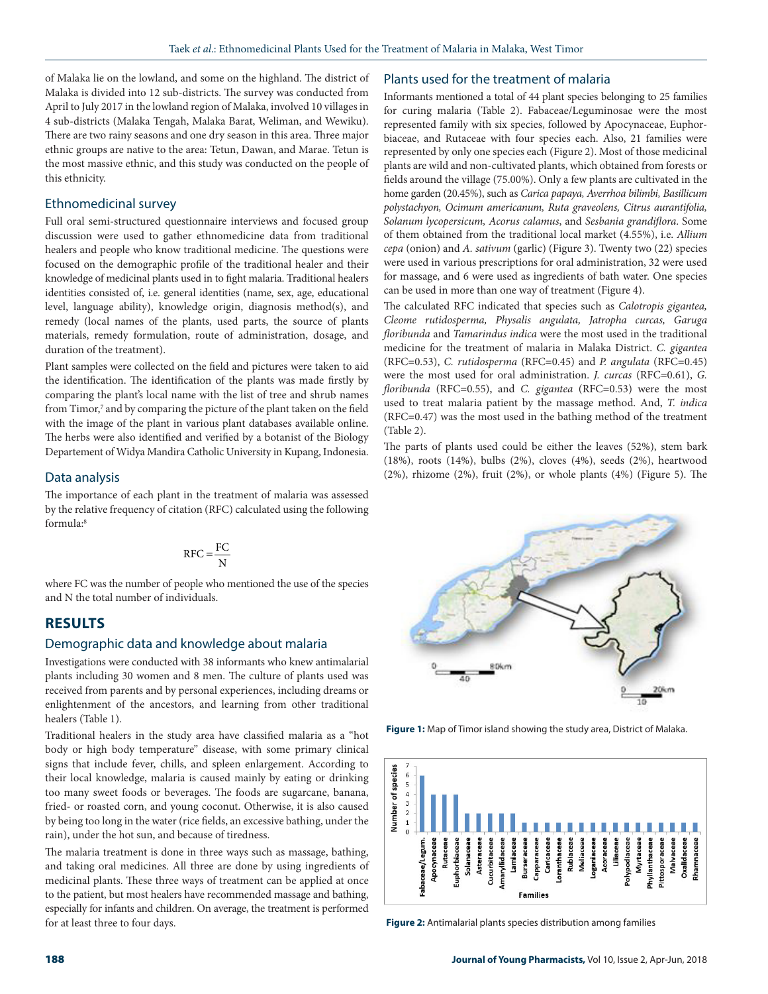of Malaka lie on the lowland, and some on the highland. The district of Malaka is divided into 12 sub-districts. The survey was conducted from April to July 2017 in the lowland region of Malaka, involved 10 villages in 4 sub-districts (Malaka Tengah, Malaka Barat, Weliman, and Wewiku). There are two rainy seasons and one dry season in this area. Three major ethnic groups are native to the area: Tetun, Dawan, and Marae. Tetun is the most massive ethnic, and this study was conducted on the people of this ethnicity.

#### Ethnomedicinal survey

Full oral semi-structured questionnaire interviews and focused group discussion were used to gather ethnomedicine data from traditional healers and people who know traditional medicine. The questions were focused on the demographic profile of the traditional healer and their knowledge of medicinal plants used in to fight malaria. Traditional healers identities consisted of, i.e. general identities (name, sex, age, educational level, language ability), knowledge origin, diagnosis method(s), and remedy (local names of the plants, used parts, the source of plants materials, remedy formulation, route of administration, dosage, and duration of the treatment).

Plant samples were collected on the field and pictures were taken to aid the identification. The identification of the plants was made firstly by comparing the plant's local name with the list of tree and shrub names from Timor,<sup>7</sup> and by comparing the picture of the plant taken on the field with the image of the plant in various plant databases available online. The herbs were also identified and verified by a botanist of the Biology Departement of Widya Mandira Catholic University in Kupang, Indonesia.

#### Data analysis

The importance of each plant in the treatment of malaria was assessed by the relative frequency of citation (RFC) calculated using the following formula:8

$$
RFC = \frac{FC}{N}
$$

where FC was the number of people who mentioned the use of the species and N the total number of individuals.

## **RESULTS**

#### Demographic data and knowledge about malaria

Investigations were conducted with 38 informants who knew antimalarial plants including 30 women and 8 men. The culture of plants used was received from parents and by personal experiences, including dreams or enlightenment of the ancestors, and learning from other traditional healers (Table 1).

Traditional healers in the study area have classified malaria as a "hot body or high body temperature" disease, with some primary clinical signs that include fever, chills, and spleen enlargement. According to their local knowledge, malaria is caused mainly by eating or drinking too many sweet foods or beverages. The foods are sugarcane, banana, fried- or roasted corn, and young coconut. Otherwise, it is also caused by being too long in the water (rice fields, an excessive bathing, under the rain), under the hot sun, and because of tiredness.

The malaria treatment is done in three ways such as massage, bathing, and taking oral medicines. All three are done by using ingredients of medicinal plants. These three ways of treatment can be applied at once to the patient, but most healers have recommended massage and bathing, especially for infants and children. On average, the treatment is performed for at least three to four days.

#### Plants used for the treatment of malaria

Informants mentioned a total of 44 plant species belonging to 25 families for curing malaria (Table 2). Fabaceae/Leguminosae were the most represented family with six species, followed by Apocynaceae, Euphorbiaceae, and Rutaceae with four species each. Also, 21 families were represented by only one species each (Figure 2). Most of those medicinal plants are wild and non-cultivated plants, which obtained from forests or fields around the village (75.00%). Only a few plants are cultivated in the home garden (20.45%), such as *Carica papaya, Averrhoa bilimbi, Basillicum polystachyon, Ocimum americanum, Ruta graveolens, Citrus aurantifolia, Solanum lycopersicum, Acorus calamus*, and *Sesbania grandiflora*. Some of them obtained from the traditional local market (4.55%), i.e. *Allium cepa* (onion) and *A. sativum* (garlic) (Figure 3). Twenty two (22) species were used in various prescriptions for oral administration, 32 were used for massage, and 6 were used as ingredients of bath water. One species can be used in more than one way of treatment (Figure 4).

The calculated RFC indicated that species such as *Calotropis gigantea, Cleome rutidosperma, Physalis angulata, Jatropha curcas, Garuga floribunda* and *Tamarindus indica* were the most used in the traditional medicine for the treatment of malaria in Malaka District. *C. gigantea*  (RFC=0.53), *C. rutidosperma* (RFC=0.45) and *P. angulata* (RFC=0.45) were the most used for oral administration. *J. curcas* (RFC=0.61), *G. floribunda* (RFC=0.55), and *C. gigantea* (RFC=0.53) were the most used to treat malaria patient by the massage method. And, *T. indica*  (RFC=0.47) was the most used in the bathing method of the treatment (Table 2).

The parts of plants used could be either the leaves (52%), stem bark (18%), roots (14%), bulbs (2%), cloves (4%), seeds (2%), heartwood (2%), rhizome (2%), fruit (2%), or whole plants (4%) (Figure 5). The



**Figure 1:** Map of Timor island showing the study area, District of Malaka.



**Figure 2:** Antimalarial plants species distribution among families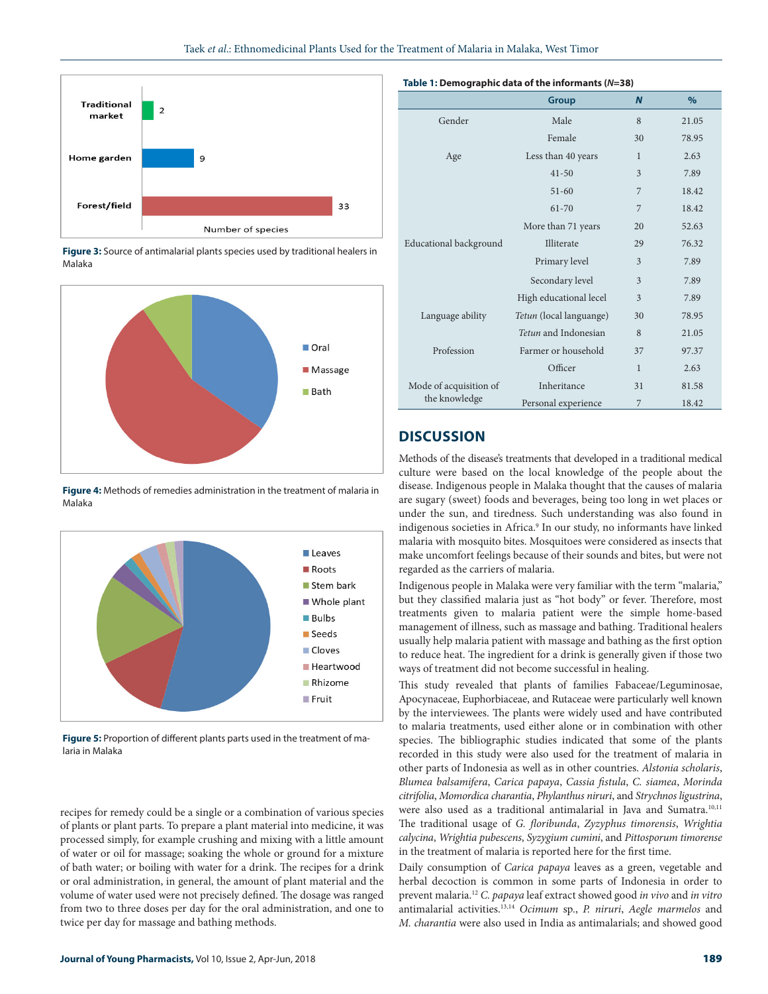

**Figure 3:** Source of antimalarial plants species used by traditional healers in Malaka



**Figure 4:** Methods of remedies administration in the treatment of malaria in Malaka



**Figure 5:** Proportion of different plants parts used in the treatment of malaria in Malaka

recipes for remedy could be a single or a combination of various species of plants or plant parts. To prepare a plant material into medicine, it was processed simply, for example crushing and mixing with a little amount of water or oil for massage; soaking the whole or ground for a mixture of bath water; or boiling with water for a drink. The recipes for a drink or oral administration, in general, the amount of plant material and the volume of water used were not precisely defined. The dosage was ranged from two to three doses per day for the oral administration, and one to twice per day for massage and bathing methods.

#### **Table 1: Demographic data of the informants (***N***=38)**

|                                         | Group                   | $\mathbf N$  | $\%$  |
|-----------------------------------------|-------------------------|--------------|-------|
| Gender                                  | Male                    | 8            | 21.05 |
|                                         | Female                  | 30           | 78.95 |
| Age                                     | Less than 40 years      | 1            | 2.63  |
| Educational background                  | $41 - 50$               | 3            | 7.89  |
|                                         | $51 - 60$               | 7            | 18.42 |
|                                         | 61-70                   | 7            | 18.42 |
|                                         | More than 71 years      | 20           | 52.63 |
|                                         | Illiterate              | 29           | 76.32 |
|                                         | Primary level           | 3            | 7.89  |
|                                         | Secondary level         | 3            | 7.89  |
|                                         | High educational lecel  | 3            | 7.89  |
| Language ability                        | Tetun (local languange) | 30           | 78.95 |
| Profession                              | Tetun and Indonesian    | 8            | 21.05 |
|                                         | Farmer or household     | 37           | 97.37 |
|                                         | Officer                 | $\mathbf{1}$ | 2.63  |
| Mode of acquisition of<br>the knowledge | Inheritance             | 31           | 81.58 |
|                                         | Personal experience     | 7            | 18.42 |

# **DISCUSSION**

Methods of the disease's treatments that developed in a traditional medical culture were based on the local knowledge of the people about the disease. Indigenous people in Malaka thought that the causes of malaria are sugary (sweet) foods and beverages, being too long in wet places or under the sun, and tiredness. Such understanding was also found in indigenous societies in Africa.<sup>9</sup> In our study, no informants have linked malaria with mosquito bites. Mosquitoes were considered as insects that make uncomfort feelings because of their sounds and bites, but were not regarded as the carriers of malaria.

Indigenous people in Malaka were very familiar with the term "malaria," but they classified malaria just as "hot body" or fever. Therefore, most treatments given to malaria patient were the simple home-based management of illness, such as massage and bathing. Traditional healers usually help malaria patient with massage and bathing as the first option to reduce heat. The ingredient for a drink is generally given if those two ways of treatment did not become successful in healing.

This study revealed that plants of families Fabaceae/Leguminosae, Apocynaceae, Euphorbiaceae, and Rutaceae were particularly well known by the interviewees. The plants were widely used and have contributed to malaria treatments, used either alone or in combination with other species. The bibliographic studies indicated that some of the plants recorded in this study were also used for the treatment of malaria in other parts of Indonesia as well as in other countries. *Alstonia scholaris*, *Blumea balsamifera*, *Carica papaya*, *Cassia fistula*, *C. siamea*, *Morinda citrifolia*, *Momordica charantia*, *Phylanthus niruri*, and *Strychnos ligustrina*, were also used as a traditional antimalarial in Java and Sumatra.10,11 The traditional usage of *G. floribunda*, *Zyzyphus timorensis*, *Wrightia calycina*, *Wrightia pubescens*, *Syzygium cumini*, and *Pittosporum timorense*  in the treatment of malaria is reported here for the first time.

Daily consumption of *Carica papaya* leaves as a green, vegetable and herbal decoction is common in some parts of Indonesia in order to prevent malaria.12 *C. papaya* leaf extract showed good *in vivo* and *in vitro* antimalarial activities.13,14 *Ocimum* sp., *P. niruri*, *Aegle marmelos* and *M. charantia* were also used in India as antimalarials; and showed good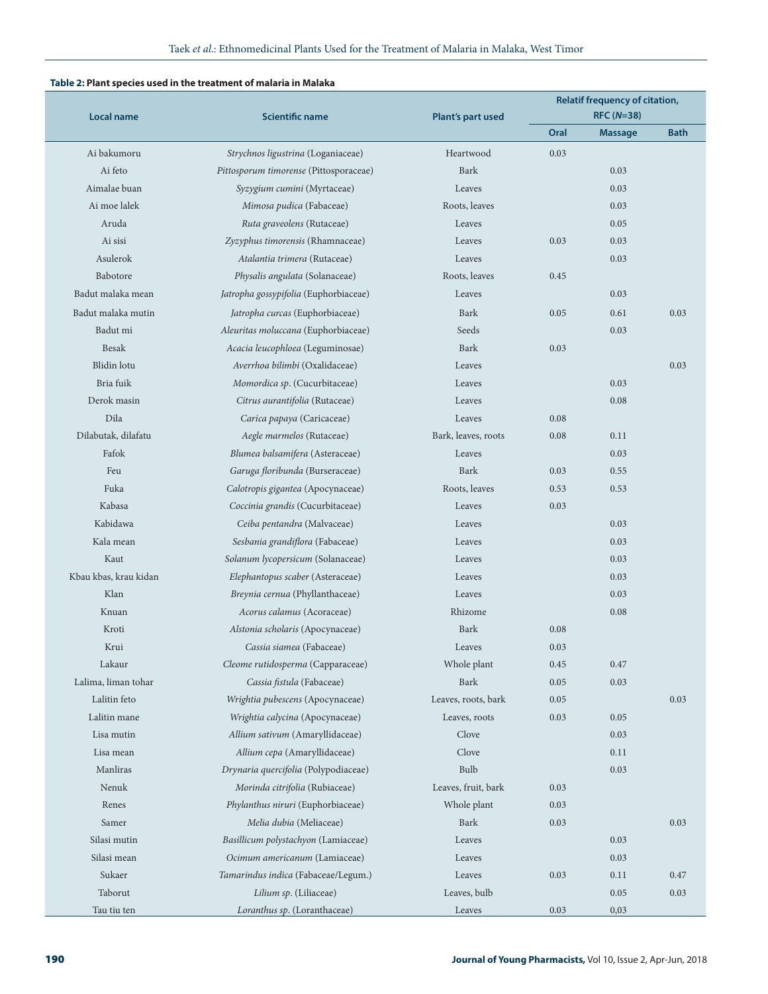#### **Table 2: Plant species used in the treatment of malaria in Malaka**

| <b>Local name</b>     | <b>Scientific name</b>                 |                          | <b>Relatif frequency of citation,</b> |                |             |
|-----------------------|----------------------------------------|--------------------------|---------------------------------------|----------------|-------------|
|                       |                                        | <b>Plant's part used</b> | $RFC (N=38)$                          |                |             |
|                       |                                        |                          | Oral                                  | <b>Massage</b> | <b>Bath</b> |
| Ai bakumoru           | Strychnos ligustrina (Loganiaceae)     | Heartwood                | 0.03                                  |                |             |
| Ai feto               | Pittosporum timorense (Pittosporaceae) | <b>Bark</b>              |                                       | 0.03           |             |
| Aimalae buan          | Syzygium cumini (Myrtaceae)            | Leaves                   |                                       | 0.03           |             |
| Ai moe lalek          | Mimosa pudica (Fabaceae)               | Roots, leaves            |                                       | 0.03           |             |
| Aruda                 | Ruta graveolens (Rutaceae)             | Leaves                   |                                       | 0.05           |             |
| Ai sisi               | Zyzyphus timorensis (Rhamnaceae)       | Leaves                   | 0.03                                  | 0.03           |             |
| Asulerok              | Atalantia trimera (Rutaceae)           | Leaves                   |                                       | 0.03           |             |
| <b>Babotore</b>       | Physalis angulata (Solanaceae)         | Roots, leaves            | 0.45                                  |                |             |
| Badut malaka mean     | Jatropha gossypifolia (Euphorbiaceae)  | Leaves                   |                                       | 0.03           |             |
| Badut malaka mutin    | Jatropha curcas (Euphorbiaceae)        | <b>Bark</b>              | 0.05                                  | 0.61           | 0.03        |
| Badut mi              | Aleuritas moluccana (Euphorbiaceae)    | Seeds                    |                                       | 0.03           |             |
| <b>Besak</b>          | Acacia leucophloea (Leguminosae)       | <b>Bark</b>              | 0.03                                  |                |             |
| Blidin lotu           | Averrhoa bilimbi (Oxalidaceae)         | Leaves                   |                                       |                | 0.03        |
| Bria fuik             | Momordica sp. (Cucurbitaceae)          | Leaves                   |                                       | 0.03           |             |
| Derok masin           | Citrus aurantifolia (Rutaceae)         | Leaves                   |                                       | 0.08           |             |
| Dila                  | Carica papaya (Caricaceae)             | Leaves                   | 0.08                                  |                |             |
| Dilabutak, dilafatu   | Aegle marmelos (Rutaceae)              | Bark, leaves, roots      | 0.08                                  | 0.11           |             |
| Fafok                 | Blumea balsamifera (Asteraceae)        | Leaves                   |                                       | 0.03           |             |
| Feu                   | Garuga floribunda (Burseraceae)        | <b>Bark</b>              | 0.03                                  | 0.55           |             |
| Fuka                  | Calotropis gigantea (Apocynaceae)      | Roots, leaves            | 0.53                                  | 0.53           |             |
| Kabasa                | Coccinia grandis (Cucurbitaceae)       | Leaves                   | 0.03                                  |                |             |
| Kabidawa              | Ceiba pentandra (Malvaceae)            | Leaves                   |                                       | 0.03           |             |
| Kala mean             | Sesbania grandiflora (Fabaceae)        | Leaves                   |                                       | 0.03           |             |
| Kaut                  | Solanum lycopersicum (Solanaceae)      | Leaves                   |                                       | 0.03           |             |
| Kbau kbas, krau kidan | Elephantopus scaber (Asteraceae)       | Leaves                   |                                       | 0.03           |             |
| Klan                  | Breynia cernua (Phyllanthaceae)        | Leaves                   |                                       | 0.03           |             |
| Knuan                 | Acorus calamus (Acoraceae)             | Rhizome                  |                                       | 0.08           |             |
| Kroti                 | Alstonia scholaris (Apocynaceae)       | <b>Bark</b>              | 0.08                                  |                |             |
| Krui                  | Cassia siamea (Fabaceae)               | Leaves                   | 0.03                                  |                |             |
| Lakaur                | Cleome rutidosperma (Capparaceae)      | Whole plant              | 0.45                                  | 0.47           |             |
| Lalima, liman tohar   | Cassia fistula (Fabaceae)              | Bark                     | 0.05                                  | 0.03           |             |
| Lalitin feto          | Wrightia pubescens (Apocynaceae)       | Leaves, roots, bark      | 0.05                                  |                | 0.03        |
| Lalitin mane          | Wrightia calycina (Apocynaceae)        | Leaves, roots            | 0.03                                  | 0.05           |             |
| Lisa mutin            | Allium sativum (Amaryllidaceae)        | Clove                    |                                       | 0.03           |             |
| Lisa mean             | Allium cepa (Amaryllidaceae)           | Clove                    |                                       | 0.11           |             |
| Manliras              | Drynaria quercifolia (Polypodiaceae)   | Bulb                     |                                       | 0.03           |             |
| Nenuk                 | Morinda citrifolia (Rubiaceae)         | Leaves, fruit, bark      | 0.03                                  |                |             |
| Renes                 |                                        |                          |                                       |                |             |
|                       | Phylanthus niruri (Euphorbiaceae)      | Whole plant              | 0.03                                  |                |             |
| Samer                 | Melia dubia (Meliaceae)                | Bark                     | 0.03                                  |                | 0.03        |
| Silasi mutin          | Basillicum polystachyon (Lamiaceae)    | Leaves                   |                                       | 0.03           |             |
| Silasi mean           | Ocimum americanum (Lamiaceae)          | Leaves                   |                                       | 0.03           |             |
| Sukaer                | Tamarindus indica (Fabaceae/Legum.)    | Leaves                   | 0.03                                  | 0.11           | 0.47        |
| Taborut               | Lilium sp. (Liliaceae)                 | Leaves, bulb             |                                       | 0.05           | 0.03        |
| Tau tiu ten           | Loranthus sp. (Loranthaceae)           | Leaves                   | 0.03                                  | 0,03           |             |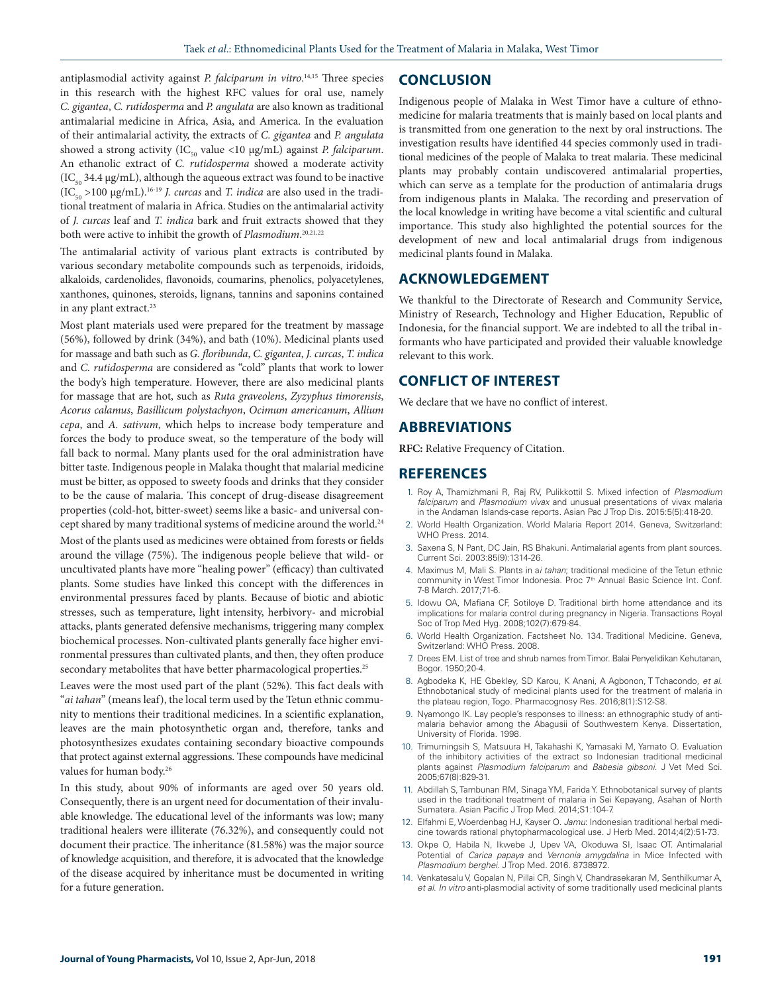antiplasmodial activity against *P. falciparum in vitro*. 14,15 Three species in this research with the highest RFC values for oral use, namely *C. gigantea*, *C. rutidosperma* and *P. angulata* are also known as traditional antimalarial medicine in Africa, Asia, and America. In the evaluation of their antimalarial activity, the extracts of *C. gigantea* and *P. angulata* showed a strong activity (IC<sub>50</sub> value <10 μg/mL) against *P. falciparum*. An ethanolic extract of *C. rutidosperma* showed a moderate activity  $(IC_{50} 34.4 \mu g/mL)$ , although the aqueous extract was found to be inactive (IC<sub>50</sub> >100 μg/mL).<sup>16-19</sup> *J. curcas* and *T. indica* are also used in the traditional treatment of malaria in Africa. Studies on the antimalarial activity of *J. curcas* leaf and *T. indica* bark and fruit extracts showed that they both were active to inhibit the growth of *Plasmodium*. 20,21,22

The antimalarial activity of various plant extracts is contributed by various secondary metabolite compounds such as terpenoids, iridoids, alkaloids, cardenolides, flavonoids, coumarins, phenolics, polyacetylenes, xanthones, quinones, steroids, lignans, tannins and saponins contained in any plant extract.<sup>23</sup>

Most plant materials used were prepared for the treatment by massage (56%), followed by drink (34%), and bath (10%). Medicinal plants used for massage and bath such as *G. floribunda*, *C. gigantea*, *J. curcas*, *T. indica* and *C. rutidosperma* are considered as "cold" plants that work to lower the body's high temperature. However, there are also medicinal plants for massage that are hot, such as *Ruta graveolens*, *Zyzyphus timorensis*, *Acorus calamus*, *Basillicum polystachyon*, *Ocimum americanum*, *Allium cepa*, and *A. sativum*, which helps to increase body temperature and forces the body to produce sweat, so the temperature of the body will fall back to normal. Many plants used for the oral administration have bitter taste. Indigenous people in Malaka thought that malarial medicine must be bitter, as opposed to sweety foods and drinks that they consider to be the cause of malaria. This concept of drug-disease disagreement properties (cold-hot, bitter-sweet) seems like a basic- and universal concept shared by many traditional systems of medicine around the world.<sup>24</sup> Most of the plants used as medicines were obtained from forests or fields around the village (75%). The indigenous people believe that wild- or uncultivated plants have more "healing power" (efficacy) than cultivated plants. Some studies have linked this concept with the differences in environmental pressures faced by plants. Because of biotic and abiotic

stresses, such as temperature, light intensity, herbivory- and microbial attacks, plants generated defensive mechanisms, triggering many complex biochemical processes. Non-cultivated plants generally face higher environmental pressures than cultivated plants, and then, they often produce secondary metabolites that have better pharmacological properties.<sup>25</sup>

Leaves were the most used part of the plant (52%). This fact deals with "*ai tahan*" (means leaf), the local term used by the Tetun ethnic community to mentions their traditional medicines. In a scientific explanation, leaves are the main photosynthetic organ and, therefore, tanks and photosynthesizes exudates containing secondary bioactive compounds that protect against external aggressions. These compounds have medicinal values for human body.<sup>26</sup>

In this study, about 90% of informants are aged over 50 years old. Consequently, there is an urgent need for documentation of their invaluable knowledge. The educational level of the informants was low; many traditional healers were illiterate (76.32%), and consequently could not document their practice. The inheritance (81.58%) was the major source of knowledge acquisition, and therefore, it is advocated that the knowledge of the disease acquired by inheritance must be documented in writing for a future generation.

#### **CONCLUSION**

Indigenous people of Malaka in West Timor have a culture of ethnomedicine for malaria treatments that is mainly based on local plants and is transmitted from one generation to the next by oral instructions. The investigation results have identified 44 species commonly used in traditional medicines of the people of Malaka to treat malaria. These medicinal plants may probably contain undiscovered antimalarial properties, which can serve as a template for the production of antimalaria drugs from indigenous plants in Malaka. The recording and preservation of the local knowledge in writing have become a vital scientific and cultural importance. This study also highlighted the potential sources for the development of new and local antimalarial drugs from indigenous medicinal plants found in Malaka.

## **ACKNOWLEDGEMENT**

We thankful to the Directorate of Research and Community Service, Ministry of Research, Technology and Higher Education, Republic of Indonesia, for the financial support. We are indebted to all the tribal informants who have participated and provided their valuable knowledge relevant to this work.

#### **CONFLICT OF INTEREST**

We declare that we have no conflict of interest.

#### **ABBREVIATIONS**

**RFC:** Relative Frequency of Citation.

#### **REFERENCES**

- 1. Roy A, Thamizhmani R, Raj RV, Pulikkottil S. Mixed infection of *Plasmodium falciparum* and *Plasmodium vivax* and unusual presentations of vivax malaria in the Andaman Islands-case reports. Asian Pac J Trop Dis. 2015:5(5):418-20.
- 2. World Health Organization. World Malaria Report 2014. Geneva, Switzerland: WHO Press. 2014.
- 3. Saxena S, N Pant, DC Jain, RS Bhakuni. Antimalarial agents from plant sources. Current Sci. 2003:85(9):1314-26.
- 4. Maximus M, Mali S. Plants in a*i tahan*; traditional medicine of the Tetun ethnic community in West Timor Indonesia. Proc 7<sup>th</sup> Annual Basic Science Int. Conf. 7-8 March. 2017;71-6.
- 5. Idowu OA, Mafiana CF, Sotiloye D. Traditional birth home attendance and its implications for malaria control during pregnancy in Nigeria. Transactions Royal Soc of Trop Med Hyg. 2008;102(7):679-84.
- 6. World Health Organization. Factsheet No. 134. Traditional Medicine. Geneva, Switzerland: WHO Press. 2008.
- 7. Drees EM. List of tree and shrub names from Timor. Balai Penyelidikan Kehutanan, Bogor. 1950;20-4.
- 8. Agbodeka K, HE Gbekley, SD Karou, K Anani, A Agbonon, T Tchacondo, *et al*. Ethnobotanical study of medicinal plants used for the treatment of malaria in the plateau region, Togo. Pharmacognosy Res. 2016;8(1):S12-S8.
- 9. Nyamongo IK. Lay people's responses to illness: an ethnographic study of antimalaria behavior among the Abagusii of Southwestern Kenya. Dissertation, University of Florida. 1998.
- 10. Trimurningsih S, Matsuura H, Takahashi K, Yamasaki M, Yamato O. Evaluation of the inhibitory activities of the extract so Indonesian traditional medicinal plants against *Plasmodium falciparum* and *Babesia gibsoni*. J Vet Med Sci. 2005;67(8):829-31.
- 11. Abdillah S, Tambunan RM, Sinaga YM, Farida Y. Ethnobotanical survey of plants used in the traditional treatment of malaria in Sei Kepayang, Asahan of North Sumatera. Asian Pacific J Trop Med. 2014;S1:104-7.
- 12. Elfahmi E, Woerdenbag HJ, Kayser O. *Jamu*: Indonesian traditional herbal medicine towards rational phytopharmacological use. J Herb Med. 2014;4(2):51-73.
- 13. Okpe O, Habila N, Ikwebe J, Upev VA, Okoduwa SI, Isaac OT. Antimalarial Potential of *Carica papaya* and *Vernonia amygdalina* in Mice Infected with *Plasmodium berghei.* J Trop Med. 2016. 8738972.
- 14. Venkatesalu V, Gopalan N, Pillai CR, Singh V, Chandrasekaran M, Senthilkumar A, *et al*. *In vitro* anti-plasmodial activity of some traditionally used medicinal plants